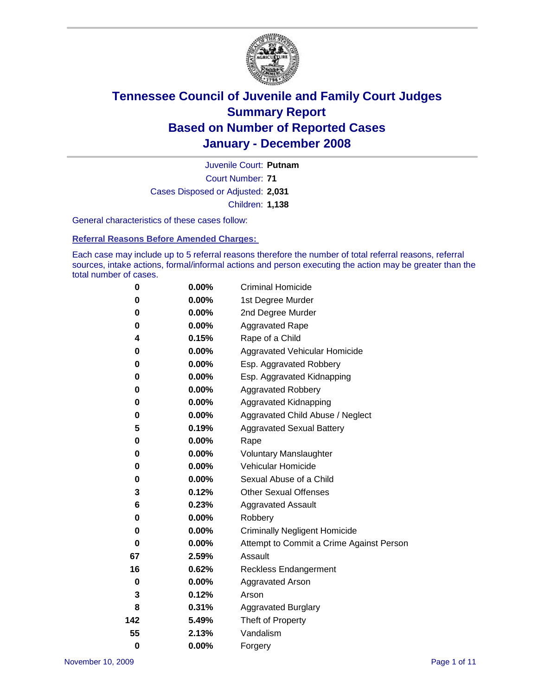

Court Number: **71** Juvenile Court: **Putnam** Cases Disposed or Adjusted: **2,031** Children: **1,138**

General characteristics of these cases follow:

**Referral Reasons Before Amended Charges:** 

Each case may include up to 5 referral reasons therefore the number of total referral reasons, referral sources, intake actions, formal/informal actions and person executing the action may be greater than the total number of cases.

| 0        | $0.00\%$ | <b>Criminal Homicide</b>                 |
|----------|----------|------------------------------------------|
| 0        | 0.00%    | 1st Degree Murder                        |
| 0        | $0.00\%$ | 2nd Degree Murder                        |
| 0        | 0.00%    | <b>Aggravated Rape</b>                   |
| 4        | 0.15%    | Rape of a Child                          |
| 0        | 0.00%    | Aggravated Vehicular Homicide            |
| 0        | 0.00%    | Esp. Aggravated Robbery                  |
| 0        | $0.00\%$ | Esp. Aggravated Kidnapping               |
| 0        | $0.00\%$ | <b>Aggravated Robbery</b>                |
| 0        | $0.00\%$ | Aggravated Kidnapping                    |
| 0        | $0.00\%$ | Aggravated Child Abuse / Neglect         |
| 5        | 0.19%    | <b>Aggravated Sexual Battery</b>         |
| 0        | 0.00%    | Rape                                     |
| 0        | $0.00\%$ | <b>Voluntary Manslaughter</b>            |
| 0        | 0.00%    | Vehicular Homicide                       |
| 0        | 0.00%    | Sexual Abuse of a Child                  |
| 3        | 0.12%    | <b>Other Sexual Offenses</b>             |
| 6        | 0.23%    | <b>Aggravated Assault</b>                |
| 0        | $0.00\%$ | Robbery                                  |
| 0        | 0.00%    | <b>Criminally Negligent Homicide</b>     |
| 0        | $0.00\%$ | Attempt to Commit a Crime Against Person |
| 67       | 2.59%    | Assault                                  |
| 16       | 0.62%    | <b>Reckless Endangerment</b>             |
| 0        | 0.00%    | <b>Aggravated Arson</b>                  |
| 3        | 0.12%    | Arson                                    |
| 8        | 0.31%    | <b>Aggravated Burglary</b>               |
| 142      | 5.49%    | Theft of Property                        |
| 55       | 2.13%    | Vandalism                                |
| $\bf{0}$ | 0.00%    | Forgery                                  |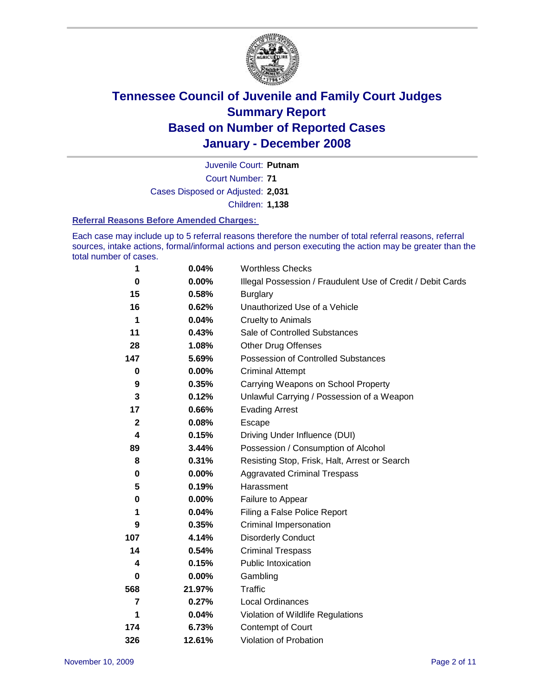

Court Number: **71** Juvenile Court: **Putnam** Cases Disposed or Adjusted: **2,031** Children: **1,138**

#### **Referral Reasons Before Amended Charges:**

Each case may include up to 5 referral reasons therefore the number of total referral reasons, referral sources, intake actions, formal/informal actions and person executing the action may be greater than the total number of cases.

| 1           | 0.04%    | <b>Worthless Checks</b>                                     |  |  |  |
|-------------|----------|-------------------------------------------------------------|--|--|--|
| 0           | 0.00%    | Illegal Possession / Fraudulent Use of Credit / Debit Cards |  |  |  |
| 15          | 0.58%    | <b>Burglary</b>                                             |  |  |  |
| 16          | 0.62%    | Unauthorized Use of a Vehicle                               |  |  |  |
| 1           | 0.04%    | <b>Cruelty to Animals</b>                                   |  |  |  |
| 11          | 0.43%    | Sale of Controlled Substances                               |  |  |  |
| 28          | 1.08%    | <b>Other Drug Offenses</b>                                  |  |  |  |
| 147         | 5.69%    | Possession of Controlled Substances                         |  |  |  |
| $\bf{0}$    | $0.00\%$ | <b>Criminal Attempt</b>                                     |  |  |  |
| 9           | 0.35%    | Carrying Weapons on School Property                         |  |  |  |
| 3           | 0.12%    | Unlawful Carrying / Possession of a Weapon                  |  |  |  |
| 17          | 0.66%    | <b>Evading Arrest</b>                                       |  |  |  |
| $\mathbf 2$ | 0.08%    | Escape                                                      |  |  |  |
| 4           | 0.15%    | Driving Under Influence (DUI)                               |  |  |  |
| 89          | 3.44%    | Possession / Consumption of Alcohol                         |  |  |  |
| 8           | 0.31%    | Resisting Stop, Frisk, Halt, Arrest or Search               |  |  |  |
| 0           | $0.00\%$ | <b>Aggravated Criminal Trespass</b>                         |  |  |  |
| 5           | 0.19%    | Harassment                                                  |  |  |  |
| 0           | 0.00%    | Failure to Appear                                           |  |  |  |
| 1           | 0.04%    | Filing a False Police Report                                |  |  |  |
| 9           | 0.35%    | Criminal Impersonation                                      |  |  |  |
| 107         | 4.14%    | <b>Disorderly Conduct</b>                                   |  |  |  |
| 14          | 0.54%    | <b>Criminal Trespass</b>                                    |  |  |  |
| 4           | 0.15%    | <b>Public Intoxication</b>                                  |  |  |  |
| 0           | $0.00\%$ | Gambling                                                    |  |  |  |
| 568         | 21.97%   | <b>Traffic</b>                                              |  |  |  |
| 7           | 0.27%    | <b>Local Ordinances</b>                                     |  |  |  |
| 1           | 0.04%    | Violation of Wildlife Regulations                           |  |  |  |
| 174         | 6.73%    | Contempt of Court                                           |  |  |  |
| 326         | 12.61%   | Violation of Probation                                      |  |  |  |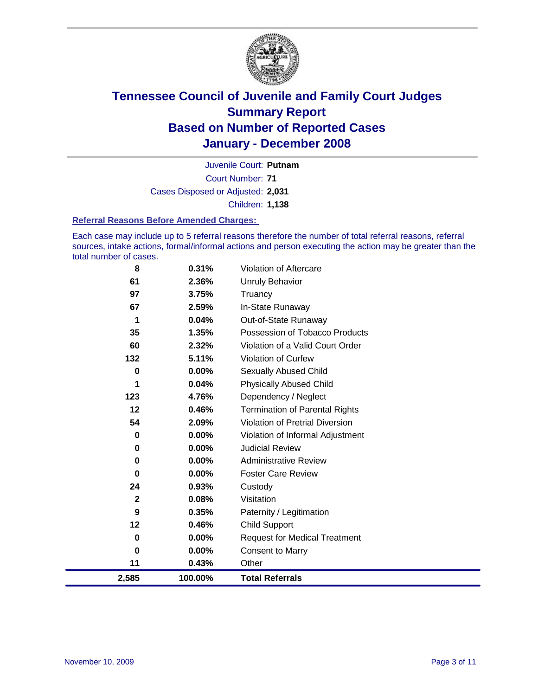

Court Number: **71** Juvenile Court: **Putnam** Cases Disposed or Adjusted: **2,031** Children: **1,138**

#### **Referral Reasons Before Amended Charges:**

Each case may include up to 5 referral reasons therefore the number of total referral reasons, referral sources, intake actions, formal/informal actions and person executing the action may be greater than the total number of cases.

| 8            | 0.31%   | Violation of Aftercare                 |
|--------------|---------|----------------------------------------|
| 61           | 2.36%   | <b>Unruly Behavior</b>                 |
| 97           | 3.75%   | Truancy                                |
| 67           | 2.59%   | In-State Runaway                       |
| 1            | 0.04%   | Out-of-State Runaway                   |
| 35           | 1.35%   | Possession of Tobacco Products         |
| 60           | 2.32%   | Violation of a Valid Court Order       |
| 132          | 5.11%   | Violation of Curfew                    |
| $\bf{0}$     | 0.00%   | <b>Sexually Abused Child</b>           |
| 1            | 0.04%   | <b>Physically Abused Child</b>         |
| 123          | 4.76%   | Dependency / Neglect                   |
| 12           | 0.46%   | <b>Termination of Parental Rights</b>  |
| 54           | 2.09%   | <b>Violation of Pretrial Diversion</b> |
| 0            | 0.00%   | Violation of Informal Adjustment       |
| 0            | 0.00%   | <b>Judicial Review</b>                 |
| $\bf{0}$     | 0.00%   | <b>Administrative Review</b>           |
| 0            | 0.00%   | <b>Foster Care Review</b>              |
| 24           | 0.93%   | Custody                                |
| $\mathbf{2}$ | 0.08%   | Visitation                             |
| 9            | 0.35%   | Paternity / Legitimation               |
| 12           | 0.46%   | <b>Child Support</b>                   |
| 0            | 0.00%   | <b>Request for Medical Treatment</b>   |
| $\bf{0}$     | 0.00%   | <b>Consent to Marry</b>                |
| 11           | 0.43%   | Other                                  |
| 2,585        | 100.00% | <b>Total Referrals</b>                 |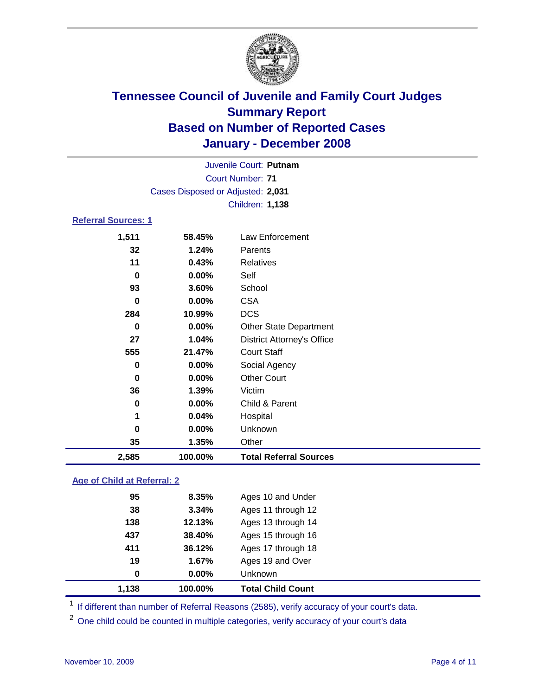

|                                   |          | Juvenile Court: Putnam            |  |  |  |  |
|-----------------------------------|----------|-----------------------------------|--|--|--|--|
|                                   |          | Court Number: 71                  |  |  |  |  |
| Cases Disposed or Adjusted: 2,031 |          |                                   |  |  |  |  |
|                                   |          | Children: 1,138                   |  |  |  |  |
| <b>Referral Sources: 1</b>        |          |                                   |  |  |  |  |
| 1,511                             | 58.45%   | Law Enforcement                   |  |  |  |  |
| 32                                | 1.24%    | Parents                           |  |  |  |  |
| 11                                | 0.43%    | Relatives                         |  |  |  |  |
| 0                                 | $0.00\%$ | Self                              |  |  |  |  |
| 93                                | 3.60%    | School                            |  |  |  |  |
| 0                                 | $0.00\%$ | <b>CSA</b>                        |  |  |  |  |
| 284                               | 10.99%   | <b>DCS</b>                        |  |  |  |  |
| 0                                 | $0.00\%$ | <b>Other State Department</b>     |  |  |  |  |
| 27                                | 1.04%    | <b>District Attorney's Office</b> |  |  |  |  |
| 555                               | 21.47%   | <b>Court Staff</b>                |  |  |  |  |
| 0                                 | 0.00%    | Social Agency                     |  |  |  |  |
| 0                                 | 0.00%    | <b>Other Court</b>                |  |  |  |  |
| 36                                | 1.39%    | Victim                            |  |  |  |  |
| 0                                 | 0.00%    | Child & Parent                    |  |  |  |  |

| 2,585 | 100.00%  | <b>Total Referral Sources</b> |  |
|-------|----------|-------------------------------|--|
| 35    | 1.35%    | Other                         |  |
| 0     | $0.00\%$ | Unknown                       |  |
|       | $0.04\%$ | Hospital                      |  |
|       |          |                               |  |

### **Age of Child at Referral: 2**

| 1,138 | 100.00% | <b>Total Child Count</b> |
|-------|---------|--------------------------|
| 0     | 0.00%   | <b>Unknown</b>           |
| 19    | 1.67%   | Ages 19 and Over         |
| 411   | 36.12%  | Ages 17 through 18       |
| 437   | 38.40%  | Ages 15 through 16       |
| 138   | 12.13%  | Ages 13 through 14       |
| 38    | 3.34%   | Ages 11 through 12       |
| 95    | 8.35%   | Ages 10 and Under        |
|       |         |                          |

<sup>1</sup> If different than number of Referral Reasons (2585), verify accuracy of your court's data.

<sup>2</sup> One child could be counted in multiple categories, verify accuracy of your court's data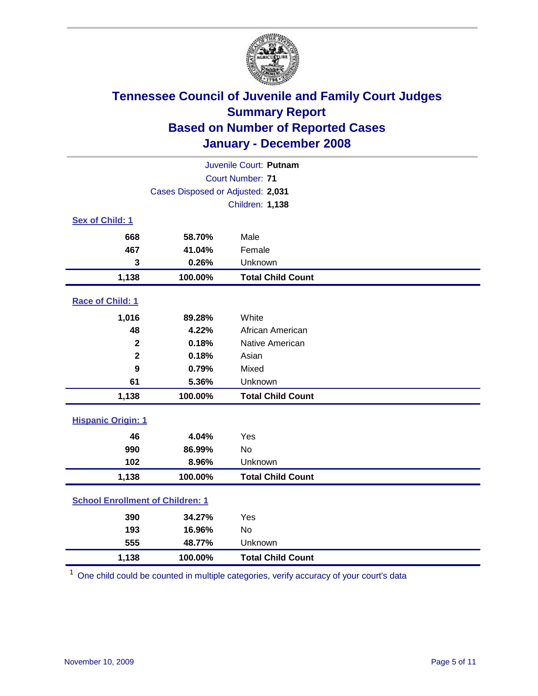

| Juvenile Court: Putnam                  |                                   |                          |  |  |  |
|-----------------------------------------|-----------------------------------|--------------------------|--|--|--|
| Court Number: 71                        |                                   |                          |  |  |  |
|                                         | Cases Disposed or Adjusted: 2,031 |                          |  |  |  |
|                                         | <b>Children: 1,138</b>            |                          |  |  |  |
| Sex of Child: 1                         |                                   |                          |  |  |  |
| 668                                     | 58.70%                            | Male                     |  |  |  |
| 467                                     | 41.04%                            | Female                   |  |  |  |
| 3                                       | 0.26%                             | Unknown                  |  |  |  |
| 1,138                                   | 100.00%                           | <b>Total Child Count</b> |  |  |  |
| Race of Child: 1                        |                                   |                          |  |  |  |
| 1,016                                   | 89.28%                            | White                    |  |  |  |
| 48                                      | 4.22%                             | African American         |  |  |  |
| $\mathbf 2$                             | 0.18%                             | Native American          |  |  |  |
| $\mathbf{2}$                            | 0.18%                             | Asian                    |  |  |  |
| 9                                       | 0.79%                             | Mixed                    |  |  |  |
| 61                                      | 5.36%                             | Unknown                  |  |  |  |
| 1,138                                   | 100.00%                           | <b>Total Child Count</b> |  |  |  |
| <b>Hispanic Origin: 1</b>               |                                   |                          |  |  |  |
| 46                                      | 4.04%                             | Yes                      |  |  |  |
| 990                                     | 86.99%                            | <b>No</b>                |  |  |  |
| 102                                     | 8.96%                             | Unknown                  |  |  |  |
| 1,138                                   | 100.00%                           | <b>Total Child Count</b> |  |  |  |
| <b>School Enrollment of Children: 1</b> |                                   |                          |  |  |  |
| 390                                     | 34.27%                            | Yes                      |  |  |  |
| 193                                     | 16.96%                            | <b>No</b>                |  |  |  |
| 555                                     | 48.77%                            | Unknown                  |  |  |  |
| 1,138                                   | 100.00%                           | <b>Total Child Count</b> |  |  |  |

<sup>1</sup> One child could be counted in multiple categories, verify accuracy of your court's data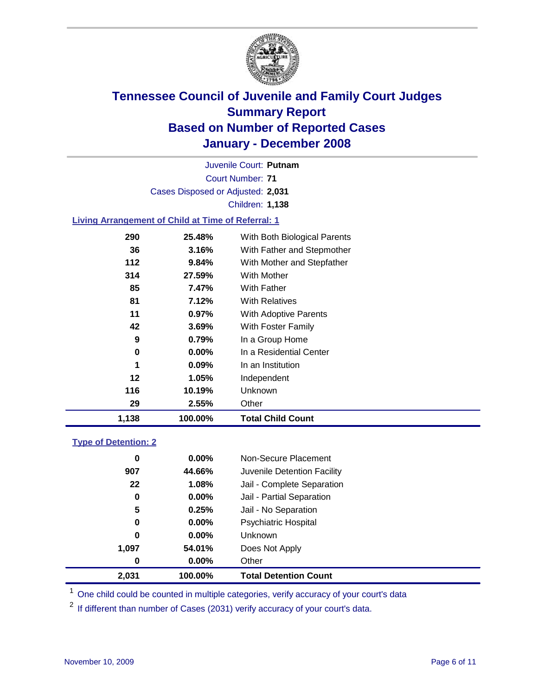

Court Number: **71** Juvenile Court: **Putnam** Cases Disposed or Adjusted: **2,031** Children: **1,138**

### **Living Arrangement of Child at Time of Referral: 1**

| 1,138 | 100.00%  | <b>Total Child Count</b>     |
|-------|----------|------------------------------|
| 29    | 2.55%    | Other                        |
| 116   | 10.19%   | Unknown                      |
| 12    | 1.05%    | Independent                  |
| 1     | $0.09\%$ | In an Institution            |
| 0     | $0.00\%$ | In a Residential Center      |
| 9     | 0.79%    | In a Group Home              |
| 42    | 3.69%    | With Foster Family           |
| 11    | $0.97\%$ | <b>With Adoptive Parents</b> |
| 81    | 7.12%    | <b>With Relatives</b>        |
| 85    | 7.47%    | <b>With Father</b>           |
| 314   | 27.59%   | With Mother                  |
| 112   | 9.84%    | With Mother and Stepfather   |
| 36    | 3.16%    | With Father and Stepmother   |
| 290   | 25.48%   | With Both Biological Parents |

#### **Type of Detention: 2**

| 2,031 | 100.00%  | <b>Total Detention Count</b> |  |
|-------|----------|------------------------------|--|
| 0     | $0.00\%$ | Other                        |  |
| 1,097 | 54.01%   | Does Not Apply               |  |
| 0     | $0.00\%$ | <b>Unknown</b>               |  |
| 0     | $0.00\%$ | <b>Psychiatric Hospital</b>  |  |
| 5     | 0.25%    | Jail - No Separation         |  |
| 0     | $0.00\%$ | Jail - Partial Separation    |  |
| 22    | 1.08%    | Jail - Complete Separation   |  |
| 907   | 44.66%   | Juvenile Detention Facility  |  |
| 0     | $0.00\%$ | Non-Secure Placement         |  |
|       |          |                              |  |

<sup>1</sup> One child could be counted in multiple categories, verify accuracy of your court's data

<sup>2</sup> If different than number of Cases (2031) verify accuracy of your court's data.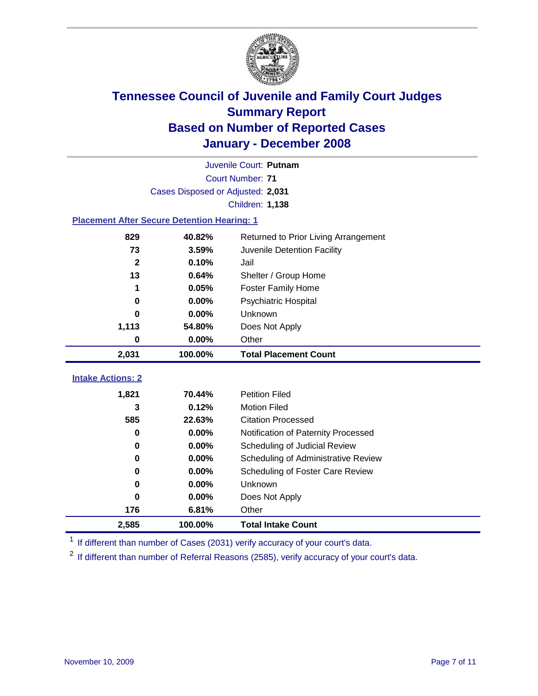

|                                                    | Juvenile Court: Putnam            |                                      |  |  |  |
|----------------------------------------------------|-----------------------------------|--------------------------------------|--|--|--|
|                                                    | Court Number: 71                  |                                      |  |  |  |
|                                                    | Cases Disposed or Adjusted: 2,031 |                                      |  |  |  |
|                                                    |                                   | <b>Children: 1,138</b>               |  |  |  |
| <b>Placement After Secure Detention Hearing: 1</b> |                                   |                                      |  |  |  |
| 829                                                | 40.82%                            | Returned to Prior Living Arrangement |  |  |  |
| 73                                                 | 3.59%                             | Juvenile Detention Facility          |  |  |  |
| $\mathbf{2}$                                       | 0.10%                             | Jail                                 |  |  |  |
| 13                                                 | 0.64%                             | Shelter / Group Home                 |  |  |  |
| 1                                                  | 0.05%                             | <b>Foster Family Home</b>            |  |  |  |
| 0                                                  | 0.00%                             | Psychiatric Hospital                 |  |  |  |
| U                                                  | 0.00%                             | Unknown                              |  |  |  |
| 1,113                                              | 54.80%                            | Does Not Apply                       |  |  |  |
| 0                                                  | 0.00%                             | Other                                |  |  |  |
| 2,031                                              | 100.00%                           | <b>Total Placement Count</b>         |  |  |  |
| <b>Intake Actions: 2</b>                           |                                   |                                      |  |  |  |
|                                                    |                                   |                                      |  |  |  |
|                                                    |                                   |                                      |  |  |  |
| 1,821                                              | 70.44%                            | <b>Petition Filed</b>                |  |  |  |
| 3                                                  | 0.12%                             | <b>Motion Filed</b>                  |  |  |  |
| 585                                                | 22.63%                            | <b>Citation Processed</b>            |  |  |  |
| 0                                                  | 0.00%                             | Notification of Paternity Processed  |  |  |  |
| $\bf{0}$                                           | 0.00%                             | Scheduling of Judicial Review        |  |  |  |
| 0                                                  | 0.00%                             | Scheduling of Administrative Review  |  |  |  |
| 0                                                  | 0.00%                             | Scheduling of Foster Care Review     |  |  |  |
| $\bf{0}$                                           | 0.00%                             | Unknown                              |  |  |  |
| $\bf{0}$                                           | 0.00%                             | Does Not Apply                       |  |  |  |
| 176                                                | 6.81%                             | Other                                |  |  |  |

<sup>1</sup> If different than number of Cases (2031) verify accuracy of your court's data.

<sup>2</sup> If different than number of Referral Reasons (2585), verify accuracy of your court's data.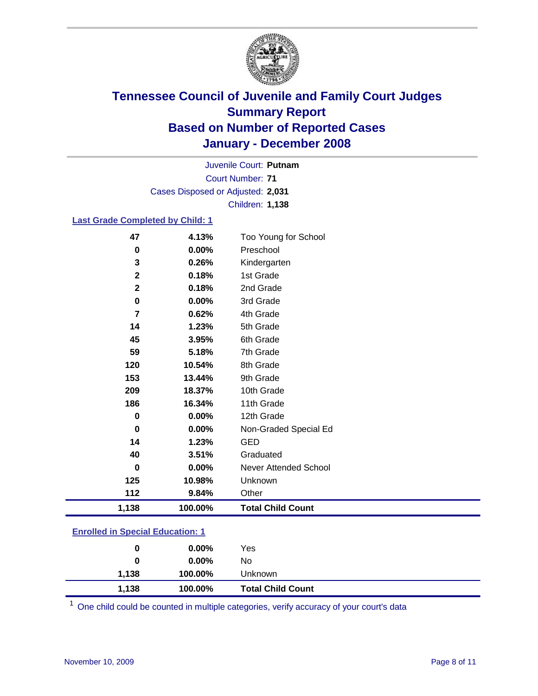

Court Number: **71** Juvenile Court: **Putnam** Cases Disposed or Adjusted: **2,031** Children: **1,138**

### **Last Grade Completed by Child: 1**

| 47             | 4.13%   | Too Young for School     |
|----------------|---------|--------------------------|
| $\bf{0}$       | 0.00%   | Preschool                |
| 3              | 0.26%   | Kindergarten             |
| $\mathbf 2$    | 0.18%   | 1st Grade                |
| $\mathbf{2}$   | 0.18%   | 2nd Grade                |
| $\mathbf 0$    | 0.00%   | 3rd Grade                |
| $\overline{7}$ | 0.62%   | 4th Grade                |
| 14             | 1.23%   | 5th Grade                |
| 45             | 3.95%   | 6th Grade                |
| 59             | 5.18%   | 7th Grade                |
| 120            | 10.54%  | 8th Grade                |
| 153            | 13.44%  | 9th Grade                |
| 209            | 18.37%  | 10th Grade               |
| 186            | 16.34%  | 11th Grade               |
| 0              | 0.00%   | 12th Grade               |
| $\bf{0}$       | 0.00%   | Non-Graded Special Ed    |
| 14             | 1.23%   | <b>GED</b>               |
| 40             | 3.51%   | Graduated                |
| $\bf{0}$       | 0.00%   | Never Attended School    |
| 125            | 10.98%  | Unknown                  |
| 112            | 9.84%   | Other                    |
| 1,138          | 100.00% | <b>Total Child Count</b> |

### **Enrolled in Special Education: 1**

| 0     | $0.00\%$ | Yes                      |
|-------|----------|--------------------------|
| 0     | $0.00\%$ | No                       |
| 1,138 | 100.00%  | Unknown                  |
| 1,138 | 100.00%  | <b>Total Child Count</b> |

One child could be counted in multiple categories, verify accuracy of your court's data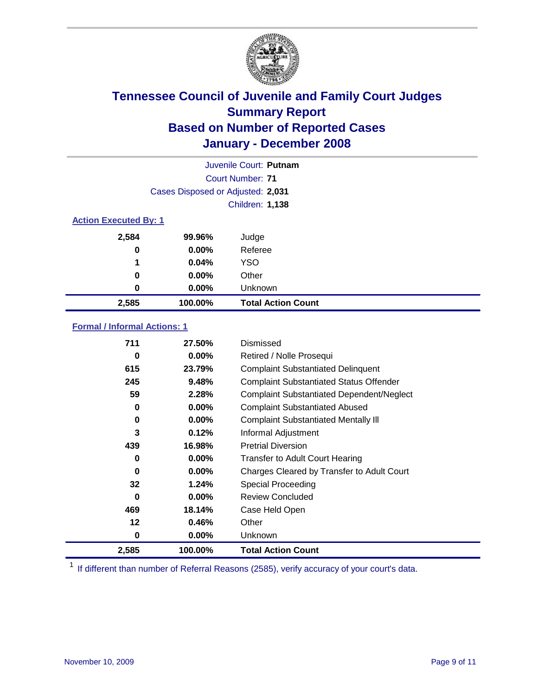

|                              |                                   | Juvenile Court: Putnam    |
|------------------------------|-----------------------------------|---------------------------|
|                              |                                   | Court Number: 71          |
|                              | Cases Disposed or Adjusted: 2,031 |                           |
|                              |                                   | <b>Children: 1,138</b>    |
| <b>Action Executed By: 1</b> |                                   |                           |
| 2,584                        | 99.96%                            | Judge                     |
| 0                            | $0.00\%$                          | Referee                   |
| 1                            | 0.04%                             | <b>YSO</b>                |
| 0                            | $0.00\%$                          | Other                     |
| 0                            | $0.00\%$                          | Unknown                   |
| 2,585                        | 100.00%                           | <b>Total Action Count</b> |

### **Formal / Informal Actions: 1**

| 711   | 27.50%   | Dismissed                                        |
|-------|----------|--------------------------------------------------|
| 0     | 0.00%    | Retired / Nolle Prosequi                         |
| 615   | 23.79%   | <b>Complaint Substantiated Delinquent</b>        |
| 245   | 9.48%    | <b>Complaint Substantiated Status Offender</b>   |
| 59    | 2.28%    | <b>Complaint Substantiated Dependent/Neglect</b> |
| 0     | 0.00%    | <b>Complaint Substantiated Abused</b>            |
| 0     | 0.00%    | <b>Complaint Substantiated Mentally III</b>      |
| 3     | 0.12%    | Informal Adjustment                              |
| 439   | 16.98%   | <b>Pretrial Diversion</b>                        |
| 0     | 0.00%    | <b>Transfer to Adult Court Hearing</b>           |
| 0     | $0.00\%$ | Charges Cleared by Transfer to Adult Court       |
| 32    | 1.24%    | Special Proceeding                               |
| 0     | $0.00\%$ | <b>Review Concluded</b>                          |
| 469   | 18.14%   | Case Held Open                                   |
| 12    | 0.46%    | Other                                            |
| 0     | 0.00%    | <b>Unknown</b>                                   |
| 2,585 | 100.00%  | <b>Total Action Count</b>                        |

<sup>1</sup> If different than number of Referral Reasons (2585), verify accuracy of your court's data.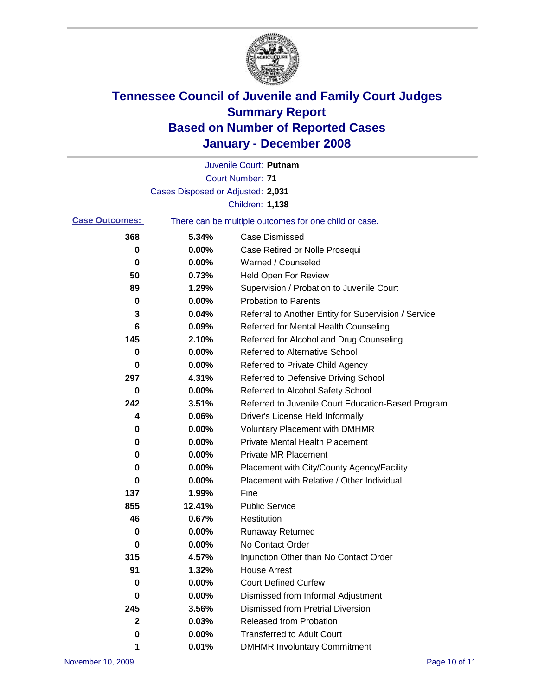

|                       |                                   | Juvenile Court: Putnam                                |
|-----------------------|-----------------------------------|-------------------------------------------------------|
|                       |                                   | <b>Court Number: 71</b>                               |
|                       | Cases Disposed or Adjusted: 2,031 |                                                       |
|                       |                                   | <b>Children: 1,138</b>                                |
| <b>Case Outcomes:</b> |                                   | There can be multiple outcomes for one child or case. |
| 368                   | 5.34%                             | <b>Case Dismissed</b>                                 |
| 0                     | 0.00%                             | Case Retired or Nolle Prosequi                        |
| 0                     | 0.00%                             | Warned / Counseled                                    |
| 50                    | 0.73%                             | Held Open For Review                                  |
| 89                    | 1.29%                             | Supervision / Probation to Juvenile Court             |
| 0                     | 0.00%                             | <b>Probation to Parents</b>                           |
| 3                     | 0.04%                             | Referral to Another Entity for Supervision / Service  |
| 6                     | 0.09%                             | Referred for Mental Health Counseling                 |
| 145                   | 2.10%                             | Referred for Alcohol and Drug Counseling              |
| 0                     | 0.00%                             | <b>Referred to Alternative School</b>                 |
| 0                     | 0.00%                             | Referred to Private Child Agency                      |
| 297                   | 4.31%                             | Referred to Defensive Driving School                  |
| 0                     | 0.00%                             | Referred to Alcohol Safety School                     |
| 242                   | 3.51%                             | Referred to Juvenile Court Education-Based Program    |
| 4                     | 0.06%                             | Driver's License Held Informally                      |
| 0                     | 0.00%                             | <b>Voluntary Placement with DMHMR</b>                 |
| 0                     | 0.00%                             | <b>Private Mental Health Placement</b>                |
| 0                     | 0.00%                             | <b>Private MR Placement</b>                           |
| 0                     | 0.00%                             | Placement with City/County Agency/Facility            |
| 0                     | 0.00%                             | Placement with Relative / Other Individual            |
| 137                   | 1.99%                             | Fine                                                  |
| 855                   | 12.41%                            | <b>Public Service</b>                                 |
| 46                    | 0.67%                             | Restitution                                           |
| 0                     | 0.00%                             | <b>Runaway Returned</b>                               |
| 0                     | 0.00%                             | No Contact Order                                      |
| 315                   | 4.57%                             | Injunction Other than No Contact Order                |
| 91                    | 1.32%                             | <b>House Arrest</b>                                   |
| 0                     | 0.00%                             | <b>Court Defined Curfew</b>                           |
| 0                     | 0.00%                             | Dismissed from Informal Adjustment                    |
| 245                   | 3.56%                             | <b>Dismissed from Pretrial Diversion</b>              |
| 2                     | 0.03%                             | Released from Probation                               |
| 0                     | 0.00%                             | <b>Transferred to Adult Court</b>                     |
| 1                     | 0.01%                             | <b>DMHMR Involuntary Commitment</b>                   |